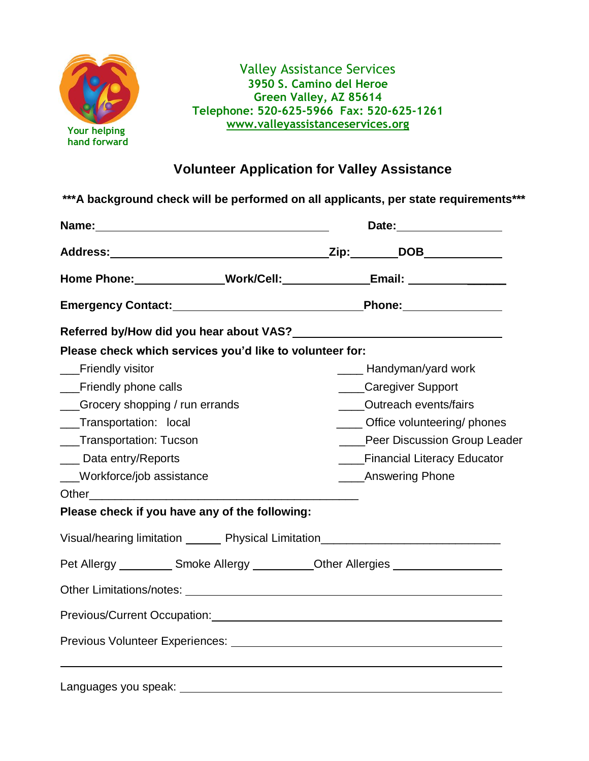

Valley Assistance Services **3950 S. Camino del Heroe Green Valley, AZ 85614 Telephone: 520-625-5966 Fax: 520-625-1261 [www.valleyassistanceservices.org](http://www.valleyassistanceservices.org/)**

## **Volunteer Application for Valley Assistance**

|                                                                                                               |  | Date: <u>Date:</u> |                                                                                                                                                                                                                                |  |
|---------------------------------------------------------------------------------------------------------------|--|--------------------|--------------------------------------------------------------------------------------------------------------------------------------------------------------------------------------------------------------------------------|--|
|                                                                                                               |  |                    |                                                                                                                                                                                                                                |  |
|                                                                                                               |  |                    | Home Phone: ______________Work/Cell: _______________Email: _____________________                                                                                                                                               |  |
|                                                                                                               |  |                    |                                                                                                                                                                                                                                |  |
|                                                                                                               |  |                    |                                                                                                                                                                                                                                |  |
| Please check which services you'd like to volunteer for:                                                      |  |                    |                                                                                                                                                                                                                                |  |
| __Friendly visitor                                                                                            |  |                    | ____ Handyman/yard work                                                                                                                                                                                                        |  |
| __Friendly phone calls                                                                                        |  |                    | ____Caregiver Support                                                                                                                                                                                                          |  |
| __Grocery shopping / run errands                                                                              |  |                    | ____Outreach events/fairs                                                                                                                                                                                                      |  |
| __Transportation: local                                                                                       |  |                    | _____ Office volunteering/ phones                                                                                                                                                                                              |  |
| ___Transportation: Tucson                                                                                     |  |                    | ____Peer Discussion Group Leader                                                                                                                                                                                               |  |
| ___ Data entry/Reports                                                                                        |  |                    | ___Financial Literacy Educator                                                                                                                                                                                                 |  |
| ___Workforce/job assistance                                                                                   |  |                    | ____Answering Phone                                                                                                                                                                                                            |  |
|                                                                                                               |  |                    |                                                                                                                                                                                                                                |  |
| Please check if you have any of the following:                                                                |  |                    |                                                                                                                                                                                                                                |  |
|                                                                                                               |  |                    | Visual/hearing limitation ________ Physical Limitation__________________________                                                                                                                                               |  |
|                                                                                                               |  |                    | Pet Allergy ____________ Smoke Allergy ___________ Other Allergies _____________                                                                                                                                               |  |
|                                                                                                               |  |                    | Other Limitations/notes: University of the Contract of the Contract of the Contract of the Contract of the Contract of the Contract of the Contract of the Contract of the Contract of the Contract of the Contract of the Con |  |
|                                                                                                               |  |                    | Previous/Current Occupation:<br>Frevious/Current Occupation:                                                                                                                                                                   |  |
| Previous Volunteer Experiences: University of the Contract of the Contract of the Contract of the Contract of |  |                    |                                                                                                                                                                                                                                |  |